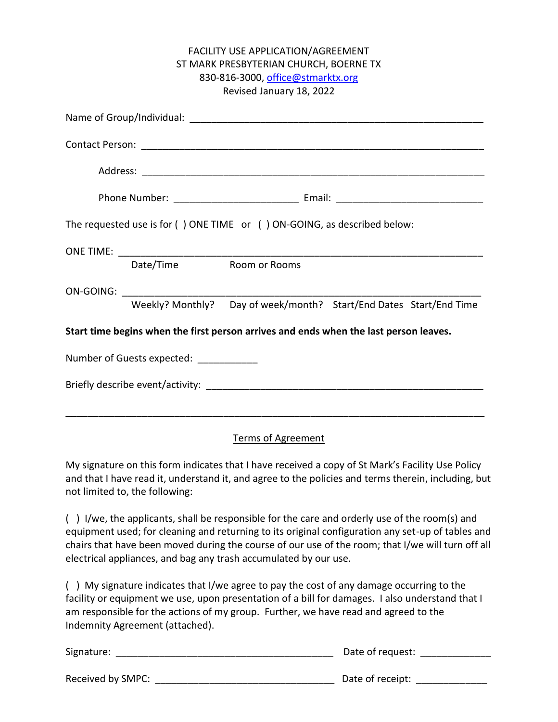|                                                                                       |                                         | FACILITY USE APPLICATION/AGREEMENT                                   |  |  |
|---------------------------------------------------------------------------------------|-----------------------------------------|----------------------------------------------------------------------|--|--|
|                                                                                       |                                         | ST MARK PRESBYTERIAN CHURCH, BOERNE TX                               |  |  |
|                                                                                       |                                         | 830-816-3000, office@stmarktx.org                                    |  |  |
|                                                                                       |                                         | Revised January 18, 2022                                             |  |  |
|                                                                                       |                                         |                                                                      |  |  |
|                                                                                       |                                         |                                                                      |  |  |
|                                                                                       |                                         |                                                                      |  |  |
|                                                                                       |                                         |                                                                      |  |  |
| The requested use is for () ONE TIME or () ON-GOING, as described below:              |                                         |                                                                      |  |  |
|                                                                                       |                                         |                                                                      |  |  |
|                                                                                       | Date/Time                               | Room or Rooms                                                        |  |  |
|                                                                                       |                                         |                                                                      |  |  |
|                                                                                       |                                         | Weekly? Monthly?  Day of week/month?  Start/End Dates Start/End Time |  |  |
| Start time begins when the first person arrives and ends when the last person leaves. |                                         |                                                                      |  |  |
|                                                                                       | Number of Guests expected: ____________ |                                                                      |  |  |
|                                                                                       |                                         |                                                                      |  |  |
|                                                                                       |                                         |                                                                      |  |  |

## Terms of Agreement

My signature on this form indicates that I have received a copy of St Mark's Facility Use Policy and that I have read it, understand it, and agree to the policies and terms therein, including, but not limited to, the following:

( ) I/we, the applicants, shall be responsible for the care and orderly use of the room(s) and equipment used; for cleaning and returning to its original configuration any set-up of tables and chairs that have been moved during the course of our use of the room; that I/we will turn off all electrical appliances, and bag any trash accumulated by our use.

( ) My signature indicates that I/we agree to pay the cost of any damage occurring to the facility or equipment we use, upon presentation of a bill for damages. I also understand that I am responsible for the actions of my group. Further, we have read and agreed to the Indemnity Agreement (attached).

| Signature:        | Date of request: |
|-------------------|------------------|
| Received by SMPC: | Date of receipt: |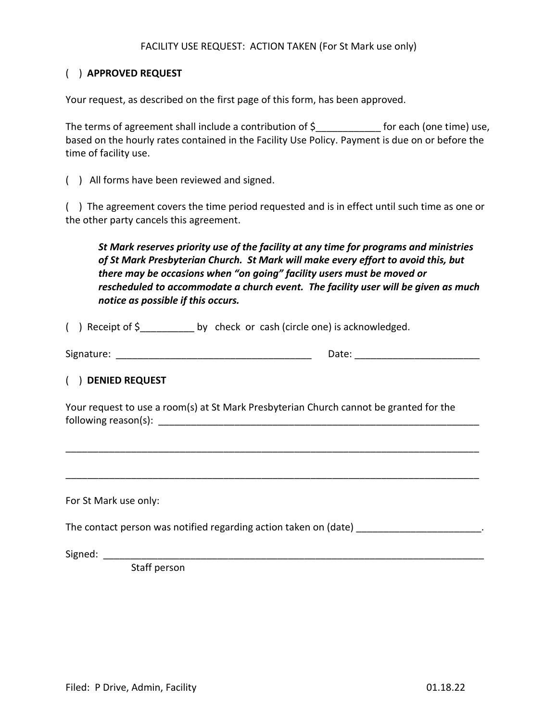#### FACILITY USE REQUEST: ACTION TAKEN (For St Mark use only)

# ( ) **APPROVED REQUEST**

Your request, as described on the first page of this form, has been approved.

The terms of agreement shall include a contribution of \$ for each (one time) use, based on the hourly rates contained in the Facility Use Policy. Payment is due on or before the time of facility use.

( ) All forms have been reviewed and signed.

( ) The agreement covers the time period requested and is in effect until such time as one or the other party cancels this agreement.

*St Mark reserves priority use of the facility at any time for programs and ministries of St Mark Presbyterian Church. St Mark will make every effort to avoid this, but there may be occasions when "on going" facility users must be moved or rescheduled to accommodate a church event. The facility user will be given as much notice as possible if this occurs.* 

() Receipt of  $\zeta$  by check or cash (circle one) is acknowledged.

Signature: \_\_\_\_\_\_\_\_\_\_\_\_\_\_\_\_\_\_\_\_\_\_\_\_\_\_\_\_\_\_\_\_\_\_\_\_ Date: \_\_\_\_\_\_\_\_\_\_\_\_\_\_\_\_\_\_\_\_\_\_\_

## ( ) **DENIED REQUEST**

Your request to use a room(s) at St Mark Presbyterian Church cannot be granted for the  $f$ ollowing reason(s):  $f$ 

For St Mark use only:

The contact person was notified regarding action taken on (date) **The contact person was notified regarding** action

\_\_\_\_\_\_\_\_\_\_\_\_\_\_\_\_\_\_\_\_\_\_\_\_\_\_\_\_\_\_\_\_\_\_\_\_\_\_\_\_\_\_\_\_\_\_\_\_\_\_\_\_\_\_\_\_\_\_\_\_\_\_\_\_\_\_\_\_\_\_\_\_\_\_\_\_

\_\_\_\_\_\_\_\_\_\_\_\_\_\_\_\_\_\_\_\_\_\_\_\_\_\_\_\_\_\_\_\_\_\_\_\_\_\_\_\_\_\_\_\_\_\_\_\_\_\_\_\_\_\_\_\_\_\_\_\_\_\_\_\_\_\_\_\_\_\_\_\_\_\_\_\_

Signed: \_\_\_\_\_\_\_\_\_\_\_\_\_\_\_\_\_\_\_\_\_\_\_\_\_\_\_\_\_\_\_\_\_\_\_\_\_\_\_\_\_\_\_\_\_\_\_\_\_\_\_\_\_\_\_\_\_\_\_\_\_\_\_\_\_\_\_\_\_\_

Staff person